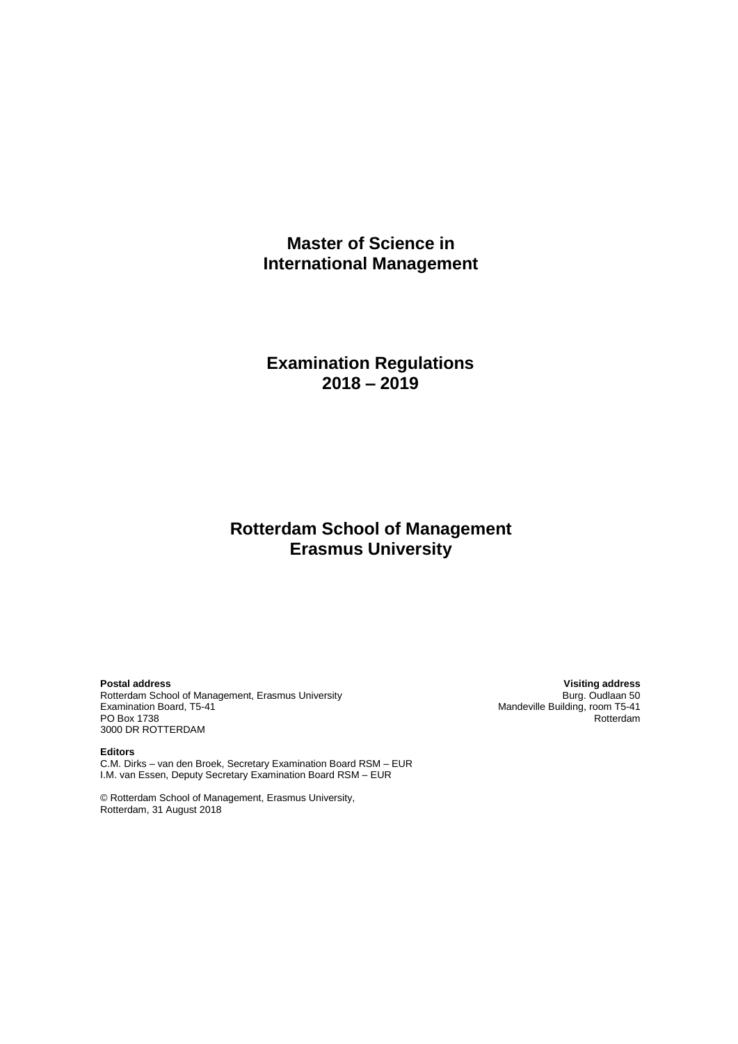# **Master of Science in International Management**

# **Examination Regulations 2018 – 2019**

# **Rotterdam School of Management Erasmus University**

**Postal address Visiting address** Rotterdam School of Management, Erasmus University<br>Examination Board, T5-41 Examination Board, T5-41 Mandeville Building, room T5-41 Mandeville Building, room T5-41 PO Box 1738 PO Box 1738 Rotterdam and the contract of the contract of the contract of the contract of the contract of the contract of the contract of the contract of the contract of the contract of the contract of the contract of the 3000 DR ROTTERDAM

**Editors** C.M. Dirks – van den Broek, Secretary Examination Board RSM – EUR I.M. van Essen, Deputy Secretary Examination Board RSM – EUR

© Rotterdam School of Management, Erasmus University, Rotterdam, 31 August 2018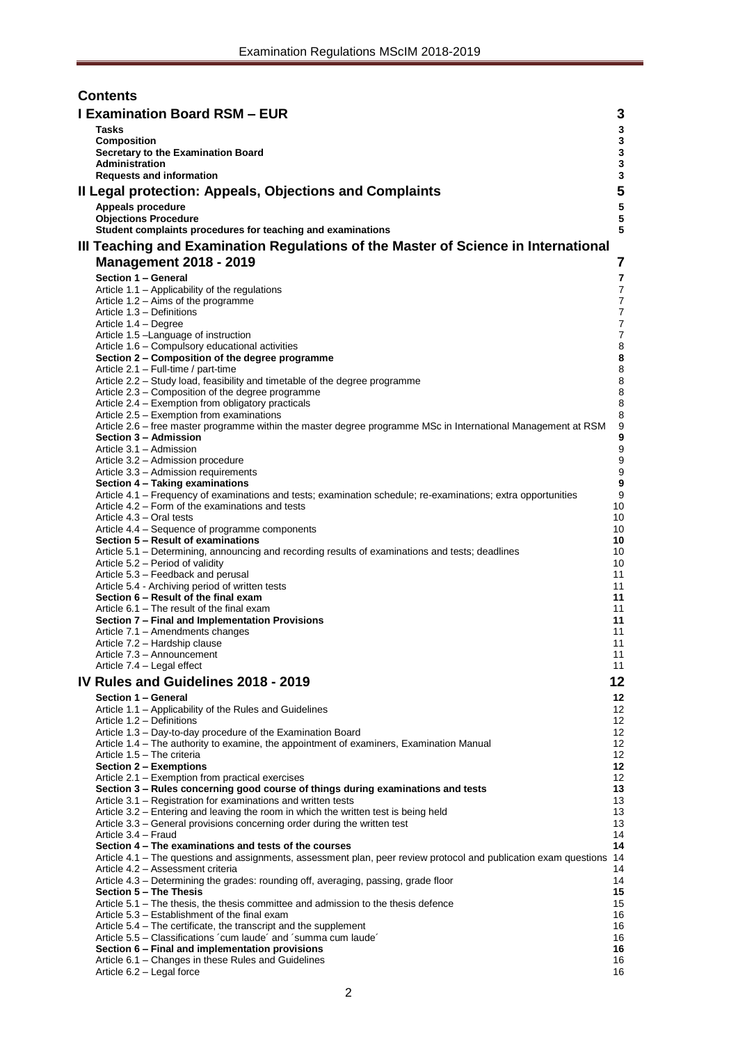| <b>Contents</b> |                                                                                                                                                                  |                                  |  |  |  |  |  |  |
|-----------------|------------------------------------------------------------------------------------------------------------------------------------------------------------------|----------------------------------|--|--|--|--|--|--|
|                 | <b>I Examination Board RSM - EUR</b><br>3                                                                                                                        |                                  |  |  |  |  |  |  |
|                 | <b>Tasks</b>                                                                                                                                                     | 3                                |  |  |  |  |  |  |
|                 | Composition                                                                                                                                                      | 3                                |  |  |  |  |  |  |
|                 | Secretary to the Examination Board<br><b>Administration</b>                                                                                                      | 3<br>3                           |  |  |  |  |  |  |
|                 | <b>Requests and information</b>                                                                                                                                  | 3                                |  |  |  |  |  |  |
|                 | Il Legal protection: Appeals, Objections and Complaints                                                                                                          | 5                                |  |  |  |  |  |  |
|                 | Appeals procedure                                                                                                                                                | ${\bf 5}$                        |  |  |  |  |  |  |
|                 | <b>Objections Procedure</b>                                                                                                                                      | 5                                |  |  |  |  |  |  |
|                 | Student complaints procedures for teaching and examinations                                                                                                      | 5                                |  |  |  |  |  |  |
|                 | III Teaching and Examination Regulations of the Master of Science in International                                                                               |                                  |  |  |  |  |  |  |
|                 | <b>Management 2018 - 2019</b>                                                                                                                                    | 7                                |  |  |  |  |  |  |
|                 | Section 1 - General                                                                                                                                              | 7                                |  |  |  |  |  |  |
|                 | Article 1.1 – Applicability of the regulations<br>Article 1.2 – Aims of the programme                                                                            | 7<br>$\overline{7}$              |  |  |  |  |  |  |
|                 | Article 1.3 - Definitions                                                                                                                                        | $\overline{7}$                   |  |  |  |  |  |  |
|                 | Article 1.4 - Degree                                                                                                                                             | $\overline{7}$<br>$\overline{7}$ |  |  |  |  |  |  |
|                 | Article 1.5 - Language of instruction<br>Article 1.6 - Compulsory educational activities                                                                         | 8                                |  |  |  |  |  |  |
|                 | Section 2 – Composition of the degree programme                                                                                                                  | 8                                |  |  |  |  |  |  |
|                 | Article 2.1 - Full-time / part-time                                                                                                                              | 8                                |  |  |  |  |  |  |
|                 | Article 2.2 - Study load, feasibility and timetable of the degree programme<br>Article 2.3 – Composition of the degree programme                                 | 8<br>8                           |  |  |  |  |  |  |
|                 | Article 2.4 – Exemption from obligatory practicals                                                                                                               | 8                                |  |  |  |  |  |  |
|                 | Article 2.5 - Exemption from examinations                                                                                                                        | 8                                |  |  |  |  |  |  |
|                 | Article 2.6 - free master programme within the master degree programme MSc in International Management at RSM<br>Section 3 - Admission                           | 9<br>9                           |  |  |  |  |  |  |
|                 | Article 3.1 - Admission                                                                                                                                          | $\boldsymbol{9}$                 |  |  |  |  |  |  |
|                 | Article 3.2 - Admission procedure                                                                                                                                | 9<br>9                           |  |  |  |  |  |  |
|                 | Article 3.3 - Admission requirements<br>Section 4 - Taking examinations                                                                                          | 9                                |  |  |  |  |  |  |
|                 | Article 4.1 – Frequency of examinations and tests; examination schedule; re-examinations; extra opportunities                                                    | 9                                |  |  |  |  |  |  |
|                 | Article 4.2 – Form of the examinations and tests<br>Article 4.3 – Oral tests                                                                                     | 10<br>10                         |  |  |  |  |  |  |
|                 | Article 4.4 – Sequence of programme components                                                                                                                   | 10                               |  |  |  |  |  |  |
|                 | Section 5 - Result of examinations                                                                                                                               | 10                               |  |  |  |  |  |  |
|                 | Article 5.1 – Determining, announcing and recording results of examinations and tests; deadlines<br>Article 5.2 – Period of validity                             | 10<br>10                         |  |  |  |  |  |  |
|                 | Article 5.3 - Feedback and perusal                                                                                                                               | 11                               |  |  |  |  |  |  |
|                 | Article 5.4 - Archiving period of written tests                                                                                                                  | 11                               |  |  |  |  |  |  |
|                 | Section 6 – Result of the final exam<br>Article 6.1 – The result of the final exam                                                                               | 11<br>11                         |  |  |  |  |  |  |
|                 | Section 7 - Final and Implementation Provisions                                                                                                                  | 11                               |  |  |  |  |  |  |
|                 | Article 7.1 – Amendments changes                                                                                                                                 | 11                               |  |  |  |  |  |  |
|                 | Article 7.2 - Hardship clause<br>Article 7.3 - Announcement                                                                                                      | 11<br>11                         |  |  |  |  |  |  |
|                 | Article 7.4 - Legal effect                                                                                                                                       | 11                               |  |  |  |  |  |  |
|                 | IV Rules and Guidelines 2018 - 2019                                                                                                                              | 12                               |  |  |  |  |  |  |
|                 | Section 1 - General                                                                                                                                              | 12                               |  |  |  |  |  |  |
|                 | Article 1.1 - Applicability of the Rules and Guidelines                                                                                                          | 12                               |  |  |  |  |  |  |
|                 | Article 1.2 - Definitions<br>Article 1.3 - Day-to-day procedure of the Examination Board                                                                         | 12<br>12                         |  |  |  |  |  |  |
|                 | Article 1.4 – The authority to examine, the appointment of examiners, Examination Manual                                                                         | 12                               |  |  |  |  |  |  |
|                 | Article 1.5 - The criteria                                                                                                                                       | 12                               |  |  |  |  |  |  |
|                 | Section 2 - Exemptions<br>Article 2.1 - Exemption from practical exercises                                                                                       | 12<br>12                         |  |  |  |  |  |  |
|                 | Section 3 - Rules concerning good course of things during examinations and tests                                                                                 | 13                               |  |  |  |  |  |  |
|                 | Article 3.1 – Registration for examinations and written tests                                                                                                    | 13                               |  |  |  |  |  |  |
|                 | Article 3.2 – Entering and leaving the room in which the written test is being held<br>Article 3.3 - General provisions concerning order during the written test | 13<br>13                         |  |  |  |  |  |  |
|                 | Article 3.4 - Fraud                                                                                                                                              | 14                               |  |  |  |  |  |  |
|                 | Section 4 – The examinations and tests of the courses                                                                                                            | 14                               |  |  |  |  |  |  |
|                 | Article 4.1 - The questions and assignments, assessment plan, peer review protocol and publication exam questions<br>Article 4.2 - Assessment criteria           | 14<br>14                         |  |  |  |  |  |  |
|                 | Article 4.3 – Determining the grades: rounding off, averaging, passing, grade floor                                                                              | 14                               |  |  |  |  |  |  |
|                 | Section 5 - The Thesis                                                                                                                                           | 15                               |  |  |  |  |  |  |
|                 | Article 5.1 – The thesis, the thesis committee and admission to the thesis defence<br>Article 5.3 – Establishment of the final exam                              | 15<br>16                         |  |  |  |  |  |  |
|                 | Article 5.4 – The certificate, the transcript and the supplement                                                                                                 | 16                               |  |  |  |  |  |  |
|                 | Article 5.5 - Classifications 'cum laude' and 'summa cum laude'                                                                                                  | 16                               |  |  |  |  |  |  |
|                 | Section 6 - Final and implementation provisions<br>Article 6.1 - Changes in these Rules and Guidelines                                                           | 16<br>16                         |  |  |  |  |  |  |
|                 | Article 6.2 - Legal force                                                                                                                                        | 16                               |  |  |  |  |  |  |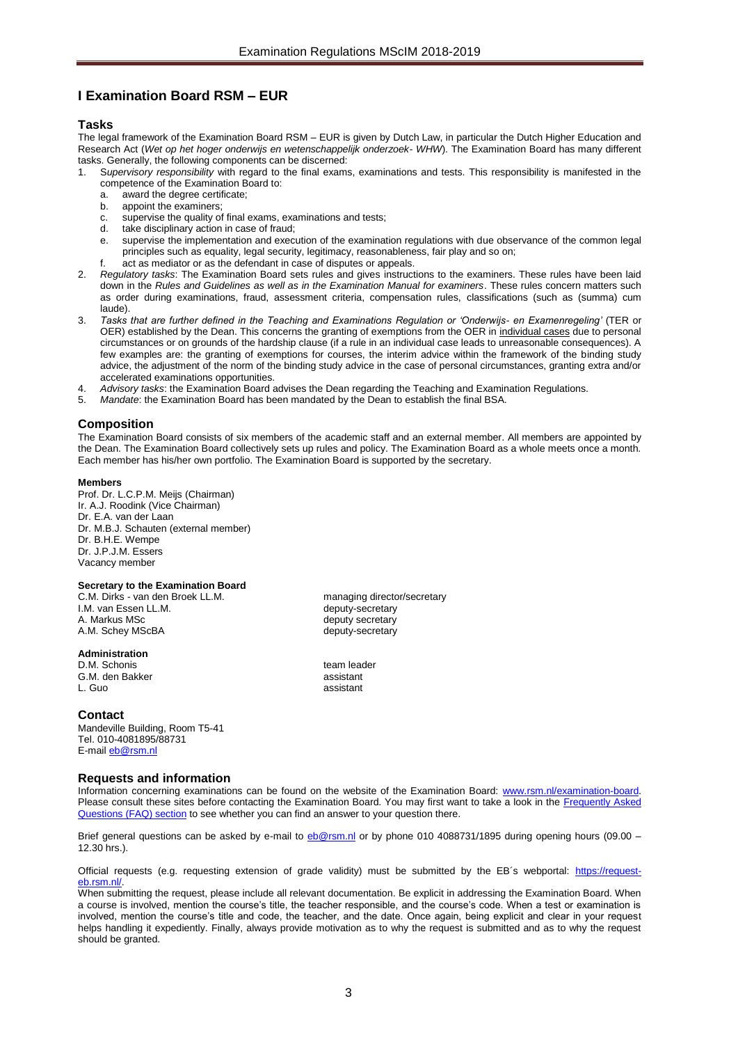# <span id="page-2-0"></span>**I Examination Board RSM – EUR**

#### <span id="page-2-1"></span>**Tasks**

The legal framework of the Examination Board RSM – EUR is given by Dutch Law, in particular the Dutch Higher Education and Research Act (*Wet op het hoger onderwijs en wetenschappelijk onderzoek- WHW*). The Examination Board has many different tasks. Generally, the following components can be discerned:

- 1. S*upervisory responsibility* with regard to the final exams, examinations and tests. This responsibility is manifested in the competence of the Examination Board to:<br>a. award the degree certificate:
	- award the degree certificate;
	- b. appoint the examiners;
	- c. supervise the quality of final exams, examinations and tests;
	- d. take disciplinary action in case of fraud;
	- e. supervise the implementation and execution of the examination regulations with due observance of the common legal principles such as equality, legal security, legitimacy, reasonableness, fair play and so on;
	- f. act as mediator or as the defendant in case of disputes or appeals.
- 2. *Regulatory tasks*: The Examination Board sets rules and gives instructions to the examiners. These rules have been laid down in the *Rules and Guidelines as well as in the Examination Manual for examiners*. These rules concern matters such as order during examinations, fraud, assessment criteria, compensation rules, classifications (such as (summa) cum laude).
- 3. *Tasks that are further defined in the Teaching and Examinations Regulation or 'Onderwijs- en Examenregeling'* (TER or OER) established by the Dean. This concerns the granting of exemptions from the OER in individual cases due to personal circumstances or on grounds of the hardship clause (if a rule in an individual case leads to unreasonable consequences). A few examples are: the granting of exemptions for courses, the interim advice within the framework of the binding study advice, the adjustment of the norm of the binding study advice in the case of personal circumstances, granting extra and/or accelerated examinations opportunities.
- 4. *Advisory tasks*: the Examination Board advises the Dean regarding the Teaching and Examination Regulations.
- 5. *Mandate*: the Examination Board has been mandated by the Dean to establish the final BSA.

#### <span id="page-2-2"></span>**Composition**

The Examination Board consists of six members of the academic staff and an external member. All members are appointed by the Dean. The Examination Board collectively sets up rules and policy. The Examination Board as a whole meets once a month. Each member has his/her own portfolio. The Examination Board is supported by the secretary.

#### **Members**

Prof. Dr. L.C.P.M. Meijs (Chairman) Ir. A.J. Roodink (Vice Chairman) Dr. E.A. van der Laan Dr. M.B.J. Schauten (external member) Dr. B.H.E. Wempe Dr. J.P.J.M. Essers Vacancy member

#### <span id="page-2-3"></span>**Secretary to the Examination Board**

C.M. Dirks - van den Broek LL.M. managing director/secretary<br>I.M. van Essen LL.M. managing director/secretary I.M. van Essen LL.M.<br>A. Markus MSc A.M. Schey MScBA deputy-secretary

#### <span id="page-2-4"></span>**Administration**

D.M. Schonis<br>
G.M. den Bakker<br>
G.M. den Bakker G.M. den Bakker L. Guo assistant

#### **Contact**

Mandeville Building, Room T5-41 Tel. 010-4081895/88731 E-mail **eb@rsm.nl** 

#### <span id="page-2-5"></span>**Requests and information**

Information concerning examinations can be found on the website of the Examination Board: [www.rsm.nl/examination-board.](http://www.rsm.nl/examination-board) Please consult these sites before contacting the Examination Board. You may first want to take a look in the Frequently Asked [Questions \(FAQ\) section](http://www.rsm.nl/examination-board/frequently-asked-questions-faqs/) to see whether you can find an answer to your question there.

Brief general questions can be asked by e-mail to [eb@rsm.nl](mailto:eb@rsm.nl) or by phone 010 4088731/1895 during opening hours (09.00 – 12.30 hrs.).

Official requests (e.g. requesting extension of grade validity) must be submitted by the EB´s webportal: [https://request](https://request-eb.rsm.nl/)eb.rsm.nl/

When submitting the request, please include all relevant documentation. Be explicit in addressing the Examination Board. When a course is involved, mention the course's title, the teacher responsible, and the course's code. When a test or examination is involved, mention the course's title and code, the teacher, and the date. Once again, being explicit and clear in your request helps handling it expediently. Finally, always provide motivation as to why the request is submitted and as to why the request should be granted.

deputy secretary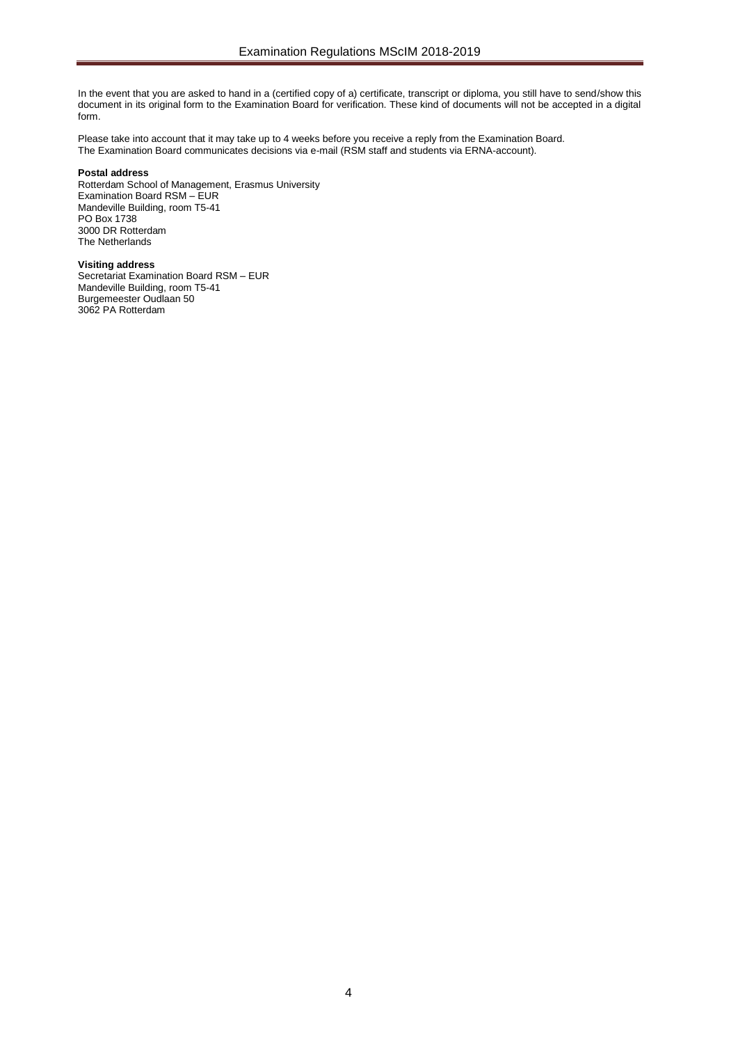In the event that you are asked to hand in a (certified copy of a) certificate, transcript or diploma, you still have to send/show this document in its original form to the Examination Board for verification. These kind of documents will not be accepted in a digital form.

Please take into account that it may take up to 4 weeks before you receive a reply from the Examination Board. The Examination Board communicates decisions via e-mail (RSM staff and students via ERNA-account).

#### **Postal address**

Rotterdam School of Management, Erasmus University Examination Board RSM – EUR Mandeville Building, room T5-41 PO Box 1738 3000 DR Rotterdam The Netherlands

#### **Visiting address**

Secretariat Examination Board RSM – EUR Mandeville Building, room T5-41 Burgemeester Oudlaan 50 3062 PA Rotterdam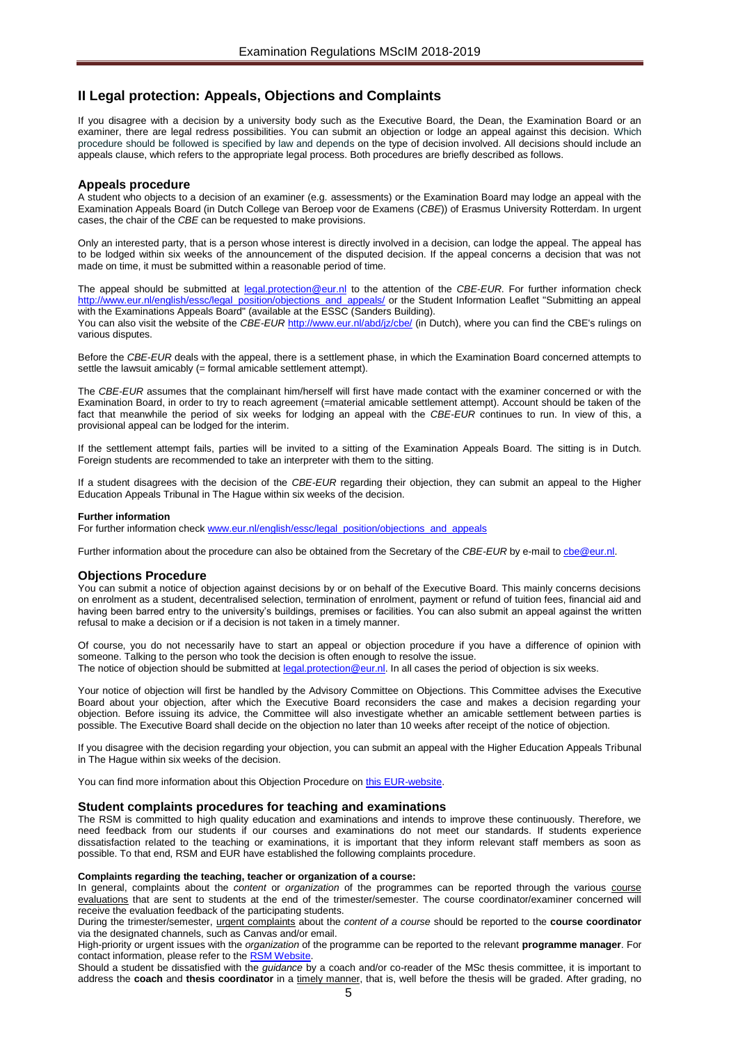# <span id="page-4-0"></span>**II Legal protection: Appeals, Objections and Complaints**

If you disagree with a decision by a university body such as the Executive Board, the Dean, the Examination Board or an examiner, there are legal redress possibilities. You can submit an objection or lodge an appeal against this decision. Which procedure should be followed is specified by law and depends on the type of decision involved. All decisions should include an appeals clause, which refers to the appropriate legal process. Both procedures are briefly described as follows.

#### <span id="page-4-1"></span>**Appeals procedure**

A student who objects to a decision of an examiner (e.g. assessments) or the Examination Board may lodge an appeal with the Examination Appeals Board (in Dutch College van Beroep voor de Examens (*CBE*)) of Erasmus University Rotterdam. In urgent cases, the chair of the *CBE* can be requested to make provisions.

Only an interested party, that is a person whose interest is directly involved in a decision, can lodge the appeal. The appeal has to be lodged within six weeks of the announcement of the disputed decision. If the appeal concerns a decision that was not made on time, it must be submitted within a reasonable period of time.

The appeal should be submitted at [legal.protection@eur.nl](mailto:legal.protection@eur.nl) to the attention of the *CBE*-*EUR*. For further information check [http://www.eur.nl/english/essc/legal\\_position/objections\\_and\\_appeals/](http://www.eur.nl/english/essc/legal_position/objections_and_appeals/) or the Student Information Leaflet "Submitting an appeal with the Examinations Appeals Board" (available at the ESSC (Sanders Building).

You can also visit the website of the *CBE-EUR* <http://www.eur.nl/abd/jz/cbe/> (in Dutch), where you can find the CBE's rulings on various disputes.

Before the *CBE*-*EUR* deals with the appeal, there is a settlement phase, in which the Examination Board concerned attempts to settle the lawsuit amicably (= formal amicable settlement attempt).

The *CBE*-*EUR* assumes that the complainant him/herself will first have made contact with the examiner concerned or with the Examination Board, in order to try to reach agreement (=material amicable settlement attempt). Account should be taken of the fact that meanwhile the period of six weeks for lodging an appeal with the *CBE*-*EUR* continues to run. In view of this, a provisional appeal can be lodged for the interim.

If the settlement attempt fails, parties will be invited to a sitting of the Examination Appeals Board. The sitting is in Dutch. Foreign students are recommended to take an interpreter with them to the sitting.

If a student disagrees with the decision of the *CBE-EUR* regarding their objection, they can submit an appeal to the Higher Education Appeals Tribunal in The Hague within six weeks of the decision.

#### **Further information**

For further information chec[k www.eur.nl/english/essc/legal\\_position/objections\\_and\\_appeals](http://www.eur.nl/english/essc/legal_position/objections_and_appeals)

Further information about the procedure can also be obtained from the Secretary of the *CBE-EUR* by e-mail to *che@eur.nl*.

#### <span id="page-4-2"></span>**Objections Procedure**

You can submit a notice of objection against decisions by or on behalf of the Executive Board. This mainly concerns decisions on enrolment as a student, decentralised selection, termination of enrolment, payment or refund of tuition fees, financial aid and having been barred entry to the university's buildings, premises or facilities. You can also submit an appeal against the written refusal to make a decision or if a decision is not taken in a timely manner.

Of course, you do not necessarily have to start an appeal or objection procedure if you have a difference of opinion with someone. Talking to the person who took the decision is often enough to resolve the issue. The notice of objection should be submitted a[t legal.protection@eur.nl.](mailto:legal.protection@eur.nl) In all cases the period of objection is six weeks.

Your notice of objection will first be handled by the Advisory Committee on Objections. This Committee advises the Executive Board about your objection, after which the Executive Board reconsiders the case and makes a decision regarding your objection. Before issuing its advice, the Committee will also investigate whether an amicable settlement between parties is possible. The Executive Board shall decide on the objection no later than 10 weeks after receipt of the notice of objection.

If you disagree with the decision regarding your objection, you can submit an appeal with the Higher Education Appeals Tribunal in The Hague within six weeks of the decision.

You can find more information about this Objection Procedure on [this EUR-website.](http://www.eur.nl/english/essc/legal_position/objections_and_appeals/)

#### <span id="page-4-3"></span>**Student complaints procedures for teaching and examinations**

The RSM is committed to high quality education and examinations and intends to improve these continuously. Therefore, we need feedback from our students if our courses and examinations do not meet our standards. If students experience dissatisfaction related to the teaching or examinations, it is important that they inform relevant staff members as soon as possible. To that end, RSM and EUR have established the following complaints procedure.

#### **Complaints regarding the teaching, teacher or organization of a course:**

In general, complaints about the *content* or *organization* of the programmes can be reported through the various course evaluations that are sent to students at the end of the trimester/semester. The course coordinator/examiner concerned will receive the evaluation feedback of the participating students.

During the trimester/semester, urgent complaints about the *content of a course* should be reported to the **course coordinator** via the designated channels, such as Canvas and/or email.

High-priority or urgent issues with the *organization* of the programme can be reported to the relevant **programme manager**. For contact information, please refer to the RSM Website.

Should a student be dissatisfied with the *guidance* by a coach and/or co-reader of the MSc thesis committee, it is important to address the **coach** and **thesis coordinator** in a timely manner, that is, well before the thesis will be graded. After grading, no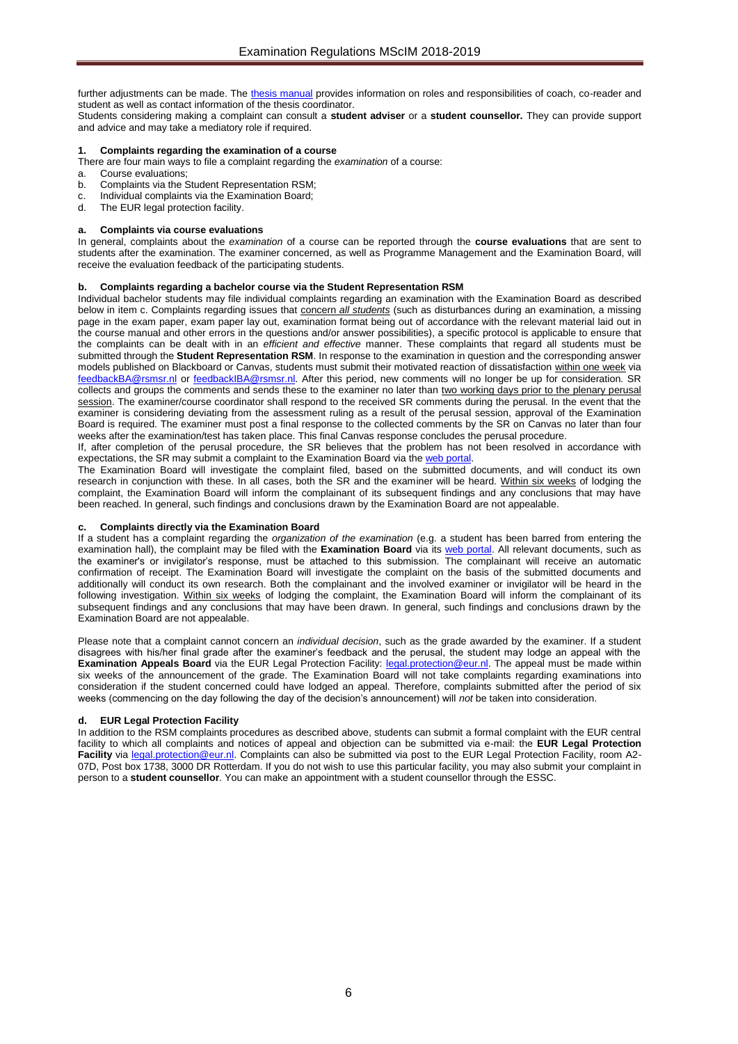further adjustments can be made. The [thesis manual](https://www.rsm.nl/fileadmin/Images_NEW/Current_Students/Master/Master_Thesis_manual_17-18__def.pdf) provides information on roles and responsibilities of coach, co-reader and student as well as contact information of the thesis coordinator.

Students considering making a complaint can consult a **student adviser** or a **student counsellor.** They can provide support and advice and may take a mediatory role if required.

#### **1. Complaints regarding the examination of a course**

There are four main ways to file a complaint regarding the *examination* of a course:

- a. Course evaluations;
- b. Complaints via the Student Representation RSM;
- c. Individual complaints via the Examination Board;
- d. The EUR legal protection facility.

#### **a. Complaints via course evaluations**

In general, complaints about the *examination* of a course can be reported through the **course evaluations** that are sent to students after the examination. The examiner concerned, as well as Programme Management and the Examination Board, will receive the evaluation feedback of the participating students.

#### **b. Complaints regarding a bachelor course via the Student Representation RSM**

Individual bachelor students may file individual complaints regarding an examination with the Examination Board as described below in item c. Complaints regarding issues that concern *all students* (such as disturbances during an examination, a missing page in the exam paper, exam paper lay out, examination format being out of accordance with the relevant material laid out in the course manual and other errors in the questions and/or answer possibilities), a specific protocol is applicable to ensure that the complaints can be dealt with in an *efficient and effective* manner. These complaints that regard all students must be submitted through the **Student Representation RSM**. In response to the examination in question and the corresponding answer models published on Blackboard or Canvas, students must submit their motivated reaction of dissatisfaction within one week via [feedbackBA@rsmsr.nl](mailto:feedbackBA@rsmsr.nl) or [feedbackIBA@rsmsr.nl.](mailto:feedbackIBA@rsmsr.nl) After this period, new comments will no longer be up for consideration. SR collects and groups the comments and sends these to the examiner no later than two working days prior to the plenary perusal session. The examiner/course coordinator shall respond to the received SR comments during the perusal. In the event that the examiner is considering deviating from the assessment ruling as a result of the perusal session, approval of the Examination Board is required. The examiner must post a final response to the collected comments by the SR on Canvas no later than four weeks after the examination/test has taken place. This final Canvas response concludes the perusal procedure.

If, after completion of the perusal procedure, the SR believes that the problem has not been resolved in accordance with expectations, the SR may submit a complaint to the Examination Board via the web portal

The Examination Board will investigate the complaint filed, based on the submitted documents, and will conduct its own research in conjunction with these. In all cases, both the SR and the examiner will be heard. Within six weeks of lodging the complaint, the Examination Board will inform the complainant of its subsequent findings and any conclusions that may have been reached. In general, such findings and conclusions drawn by the Examination Board are not appealable.

#### **c. Complaints directly via the Examination Board**

If a student has a complaint regarding the *organization of the examination* (e.g. a student has been barred from entering the examination hall), the complaint may be filed with the **Examination Board** via its [web portal.](https://request-eb.rsm.nl/) All relevant documents, such as the examiner's or invigilator's response, must be attached to this submission. The complainant will receive an automatic confirmation of receipt. The Examination Board will investigate the complaint on the basis of the submitted documents and additionally will conduct its own research. Both the complainant and the involved examiner or invigilator will be heard in the following investigation. Within six weeks of lodging the complaint, the Examination Board will inform the complainant of its subsequent findings and any conclusions that may have been drawn. In general, such findings and conclusions drawn by the Examination Board are not appealable.

Please note that a complaint cannot concern an *individual decision*, such as the grade awarded by the examiner. If a student disagrees with his/her final grade after the examiner's feedback and the perusal, the student may lodge an appeal with the **Examination Appeals Board** via the EUR Legal Protection Facility: [legal.protection@eur.nl.](mailto:legal.protection@eur.nl) The appeal must be made within six weeks of the announcement of the grade. The Examination Board will not take complaints regarding examinations into consideration if the student concerned could have lodged an appeal. Therefore, complaints submitted after the period of six weeks (commencing on the day following the day of the decision's announcement) will *not* be taken into consideration.

#### **d. EUR Legal Protection Facility**

In addition to the RSM complaints procedures as described above, students can submit a formal complaint with the EUR central facility to which all complaints and notices of appeal and objection can be submitted via e-mail: the **EUR Legal Protection Facility** via [legal.protection@eur.nl.](mailto:legal.protection@eur.nl) Complaints can also be submitted via post to the EUR Legal Protection Facility, room A2- 07D, Post box 1738, 3000 DR Rotterdam. If you do not wish to use this particular facility, you may also submit your complaint in person to a **student counsellor**. You can make an appointment with a student counsellor through the ESSC.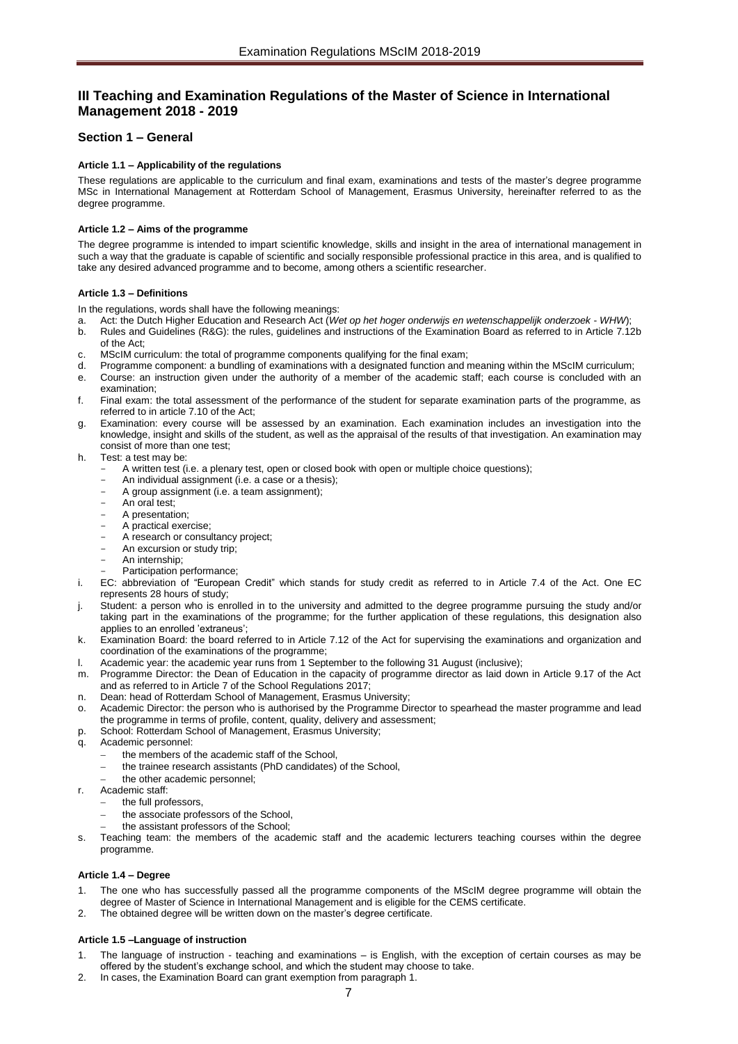# <span id="page-6-0"></span>**III Teaching and Examination Regulations of the Master of Science in International Management 2018 - 2019**

# <span id="page-6-2"></span><span id="page-6-1"></span>**Section 1 – General**

## **Article 1.1 – Applicability of the regulations**

These regulations are applicable to the curriculum and final exam, examinations and tests of the master's degree programme MSc in International Management at Rotterdam School of Management, Erasmus University, hereinafter referred to as the degree programme.

#### <span id="page-6-3"></span>**Article 1.2 – Aims of the programme**

The degree programme is intended to impart scientific knowledge, skills and insight in the area of international management in such a way that the graduate is capable of scientific and socially responsible professional practice in this area, and is qualified to take any desired advanced programme and to become, among others a scientific researcher.

#### <span id="page-6-4"></span>**Article 1.3 – Definitions**

In the regulations, words shall have the following meanings:

- a. Act: the Dutch Higher Education and Research Act (*Wet op het hoger onderwijs en wetenschappelijk onderzoek WHW*);
- b. Rules and Guidelines (R&G): the rules, guidelines and instructions of the Examination Board as referred to in Article 7.12b of the Act;
- c. MScIM curriculum: the total of programme components qualifying for the final exam;
- d. Programme component: a bundling of examinations with a designated function and meaning within the MScIM curriculum;
- e. Course: an instruction given under the authority of a member of the academic staff; each course is concluded with an examination;
- f. Final exam: the total assessment of the performance of the student for separate examination parts of the programme, as referred to in article 7.10 of the Act;
- Examination: every course will be assessed by an examination. Each examination includes an investigation into the knowledge, insight and skills of the student, as well as the appraisal of the results of that investigation. An examination may consist of more than one test;
- h. Test: a test may be:
	- A written test (i.e. a plenary test, open or closed book with open or multiple choice questions);
	- An individual assignment (i.e. a case or a thesis);
	- A group assignment (i.e. a team assignment);
	- An oral test;
	- A presentation;
	- A practical exercise;
	- A research or consultancy project;
	- An excursion or study trip;
	- An internship; Participation performance:
- i. EC: abbreviation of "European Credit" which stands for study credit as referred to in Article 7.4 of the Act. One EC represents 28 hours of study;
- Student: a person who is enrolled in to the university and admitted to the degree programme pursuing the study and/or taking part in the examinations of the programme; for the further application of these regulations, this designation also applies to an enrolled 'extraneus';
- k. Examination Board: the board referred to in Article 7.12 of the Act for supervising the examinations and organization and coordination of the examinations of the programme;
- l. Academic year: the academic year runs from 1 September to the following 31 August (inclusive);
- m. Programme Director: the Dean of Education in the capacity of programme director as laid down in Article 9.17 of the Act and as referred to in Article 7 of the School Regulations 2017;
- n. Dean: head of Rotterdam School of Management, Erasmus University;
- Academic Director: the person who is authorised by the Programme Director to spearhead the master programme and lead the programme in terms of profile, content, quality, delivery and assessment;
- p. School: Rotterdam School of Management, Erasmus University;
- q. Academic personnel:
	- the members of the academic staff of the School,
	- the trainee research assistants (PhD candidates) of the School,
	- the other academic personnel;
- r. Academic staff:
- the full professors,
	- the associate professors of the School,
	- the assistant professors of the School;
- Teaching team: the members of the academic staff and the academic lecturers teaching courses within the degree programme.

#### <span id="page-6-5"></span>**Article 1.4 – Degree**

- The one who has successfully passed all the programme components of the MScIM degree programme will obtain the degree of Master of Science in International Management and is eligible for the CEMS certificate.
- <span id="page-6-6"></span>2. The obtained degree will be written down on the master's degree certificate.

#### **Article 1.5 –Language of instruction**

- 1. The language of instruction teaching and examinations is English, with the exception of certain courses as may be offered by the student's exchange school, and which the student may choose to take.
- 2. In cases, the Examination Board can grant exemption from paragraph 1.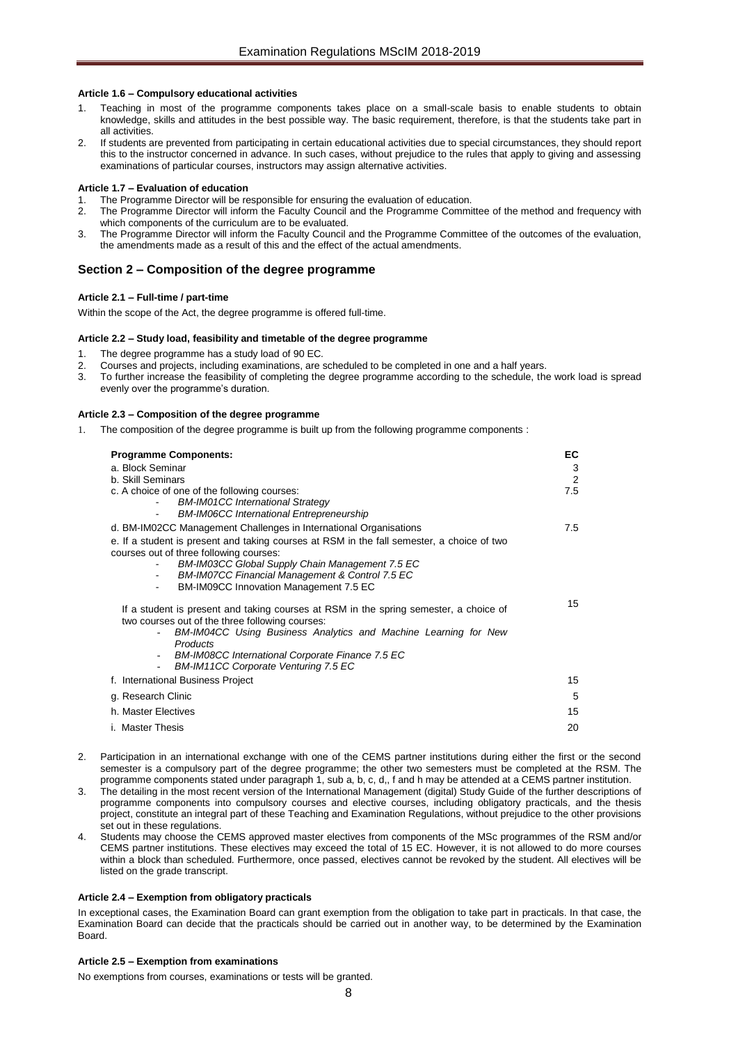#### <span id="page-7-0"></span>**Article 1.6 – Compulsory educational activities**

- Teaching in most of the programme components takes place on a small-scale basis to enable students to obtain knowledge, skills and attitudes in the best possible way. The basic requirement, therefore, is that the students take part in all activities.
- 2. If students are prevented from participating in certain educational activities due to special circumstances, they should report this to the instructor concerned in advance. In such cases, without prejudice to the rules that apply to giving and assessing examinations of particular courses, instructors may assign alternative activities.

#### **Article 1.7 – Evaluation of education**

- The Programme Director will be responsible for ensuring the evaluation of education.
- 2. The Programme Director will inform the Faculty Council and the Programme Committee of the method and frequency with which components of the curriculum are to be evaluated.
- 3. The Programme Director will inform the Faculty Council and the Programme Committee of the outcomes of the evaluation, the amendments made as a result of this and the effect of the actual amendments.

# <span id="page-7-2"></span><span id="page-7-1"></span>**Section 2 – Composition of the degree programme**

#### **Article 2.1 – Full-time / part-time**

<span id="page-7-3"></span>Within the scope of the Act, the degree programme is offered full-time.

#### **Article 2.2 – Study load, feasibility and timetable of the degree programme**

- The degree programme has a study load of 90 EC.
- 2. Courses and projects, including examinations, are scheduled to be completed in one and a half years.<br>2. To further increase the feasibility of completing the degree programme according to the schedule, the
- 3. To further increase the feasibility of completing the degree programme according to the schedule, the work load is spread evenly over the programme's duration.

### <span id="page-7-4"></span>**Article 2.3 – Composition of the degree programme**

1. The composition of the degree programme is built up from the following programme components :

| <b>Programme Components:</b><br>a. Block Seminar                                                                                                                                                                                                                                                                                                                                    | ЕC<br>3  |
|-------------------------------------------------------------------------------------------------------------------------------------------------------------------------------------------------------------------------------------------------------------------------------------------------------------------------------------------------------------------------------------|----------|
| b. Skill Seminars<br>c. A choice of one of the following courses:<br><b>BM-IM01CC International Strategy</b><br><b>BM-IM06CC International Entrepreneurship</b><br>$\blacksquare$                                                                                                                                                                                                   | 2<br>7.5 |
| d. BM-IM02CC Management Challenges in International Organisations<br>e. If a student is present and taking courses at RSM in the fall semester, a choice of two<br>courses out of three following courses:<br><b>BM-IM03CC Global Supply Chain Management 7.5 EC</b><br>BM-IM07CC Financial Management & Control 7.5 EC<br>$\blacksquare$<br>BM-IM09CC Innovation Management 7.5 EC | 7.5      |
| If a student is present and taking courses at RSM in the spring semester, a choice of<br>two courses out of the three following courses:<br>BM-IM04CC Using Business Analytics and Machine Learning for New<br><b>Products</b><br><b>BM-IM08CC International Corporate Finance 7.5 EC</b><br>BM-IM11CC Corporate Venturing 7.5 EC                                                   | 15       |
| f. International Business Project                                                                                                                                                                                                                                                                                                                                                   | 15       |
| g. Research Clinic                                                                                                                                                                                                                                                                                                                                                                  |          |
| h. Master Flectives                                                                                                                                                                                                                                                                                                                                                                 |          |
| i. Master Thesis                                                                                                                                                                                                                                                                                                                                                                    | 20       |

- 2. Participation in an international exchange with one of the CEMS partner institutions during either the first or the second semester is a compulsory part of the degree programme; the other two semesters must be completed at the RSM. The programme components stated under paragraph 1, sub a, b, c, d,, f and h may be attended at a CEMS partner institution.
- 3. The detailing in the most recent version of the International Management (digital) Study Guide of the further descriptions of programme components into compulsory courses and elective courses, including obligatory practicals, and the thesis project, constitute an integral part of these Teaching and Examination Regulations, without prejudice to the other provisions set out in these regulations.
- 4. Students may choose the CEMS approved master electives from components of the MSc programmes of the RSM and/or CEMS partner institutions. These electives may exceed the total of 15 EC. However, it is not allowed to do more courses within a block than scheduled. Furthermore, once passed, electives cannot be revoked by the student. All electives will be listed on the grade transcript.

#### <span id="page-7-5"></span>**Article 2.4 – Exemption from obligatory practicals**

In exceptional cases, the Examination Board can grant exemption from the obligation to take part in practicals. In that case, the Examination Board can decide that the practicals should be carried out in another way, to be determined by the Examination Board.

#### <span id="page-7-6"></span>**Article 2.5 – Exemption from examinations**

No exemptions from courses, examinations or tests will be granted.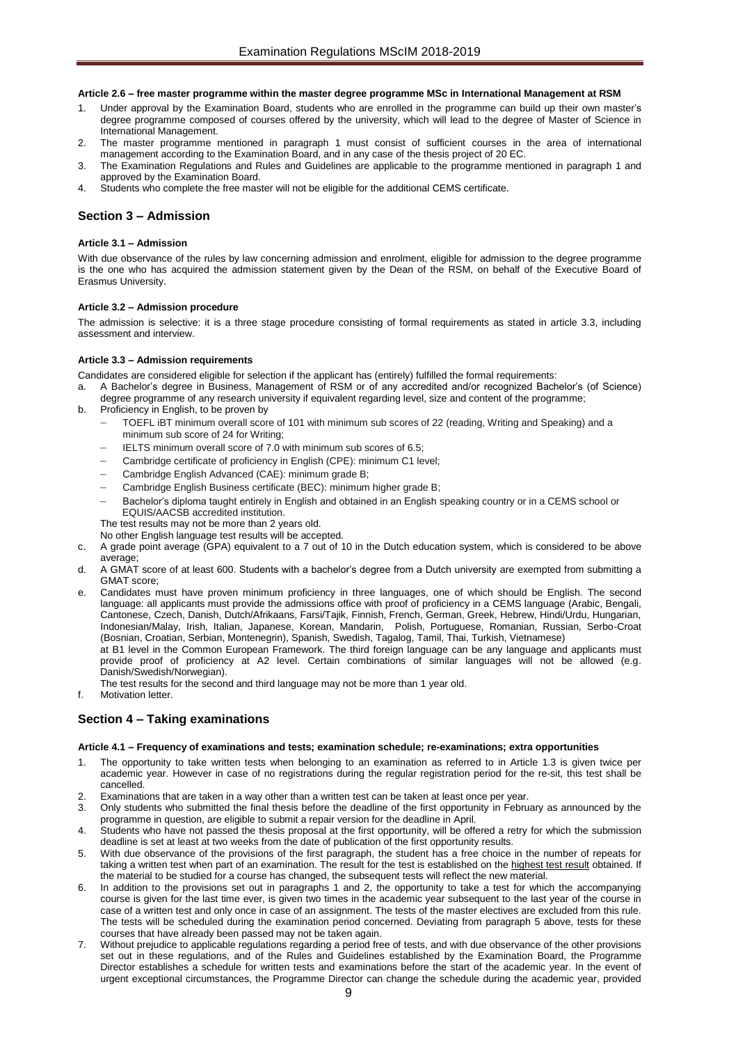#### <span id="page-8-0"></span>**Article 2.6 – free master programme within the master degree programme MSc in International Management at RSM**

- Under approval by the Examination Board, students who are enrolled in the programme can build up their own master's degree programme composed of courses offered by the university, which will lead to the degree of Master of Science in International Management.
- The master programme mentioned in paragraph 1 must consist of sufficient courses in the area of international management according to the Examination Board, and in any case of the thesis project of 20 EC.
- 3. The Examination Regulations and Rules and Guidelines are applicable to the programme mentioned in paragraph 1 and approved by the Examination Board.
- 4. Students who complete the free master will not be eligible for the additional CEMS certificate.

#### <span id="page-8-2"></span><span id="page-8-1"></span>**Section 3 – Admission**

#### **Article 3.1 – Admission**

With due observance of the rules by law concerning admission and enrolment, eligible for admission to the degree programme is the one who has acquired the admission statement given by the Dean of the RSM, on behalf of the Executive Board of Erasmus University.

#### <span id="page-8-3"></span>**Article 3.2 – Admission procedure**

The admission is selective: it is a three stage procedure consisting of formal requirements as stated in article 3.3, including assessment and interview.

#### <span id="page-8-4"></span>**Article 3.3 – Admission requirements**

Candidates are considered eligible for selection if the applicant has (entirely) fulfilled the formal requirements:

- a. A Bachelor's degree in Business, Management of RSM or of any accredited and/or recognized Bachelor's (of Science) degree programme of any research university if equivalent regarding level, size and content of the programme;
- b. Proficiency in English, to be proven by
	- TOEFL iBT minimum overall score of 101 with minimum sub scores of 22 (reading, Writing and Speaking) and a minimum sub score of 24 for Writing;
	- IELTS minimum overall score of 7.0 with minimum sub scores of 6.5;
	- Cambridge certificate of proficiency in English (CPE): minimum C1 level;
	- Cambridge English Advanced (CAE): minimum grade B;
	- Cambridge English Business certificate (BEC): minimum higher grade B;
	- Bachelor's diploma taught entirely in English and obtained in an English speaking country or in a CEMS school or EQUIS/AACSB accredited institution.
	- The test results may not be more than 2 years old.
	- No other English language test results will be accepted.
- c. A grade point average (GPA) equivalent to a 7 out of 10 in the Dutch education system, which is considered to be above average;
- d. A GMAT score of at least 600. Students with a bachelor's degree from a Dutch university are exempted from submitting a GMAT score;

e. Candidates must have proven minimum proficiency in three languages, one of which should be English. The second language: all applicants must provide the admissions office with proof of proficiency in a CEMS language (Arabic, Bengali, Cantonese, Czech, Danish, Dutch/Afrikaans, Farsi/Tajik, Finnish, French, German, Greek, Hebrew, Hindi/Urdu, Hungarian, Indonesian/Malay, Irish, Italian, Japanese, Korean, Mandarin, Polish, Portuguese, Romanian, Russian, Serbo-Croat (Bosnian, Croatian, Serbian, Montenegrin), Spanish, Swedish, Tagalog, Tamil, Thai, Turkish, Vietnamese)

at B1 level in the Common European Framework. The third foreign language can be any language and applicants must provide proof of proficiency at A2 level. Certain combinations of similar languages will not be allowed (e.g. Danish/Swedish/Norwegian).

- The test results for the second and third language may not be more than 1 year old.
- f. Motivation letter.

#### <span id="page-8-6"></span><span id="page-8-5"></span>**Section 4 – Taking examinations**

#### **Article 4.1 – Frequency of examinations and tests; examination schedule; re-examinations; extra opportunities**

- 1. The opportunity to take written tests when belonging to an examination as referred to in Article 1.3 is given twice per academic year. However in case of no registrations during the regular registration period for the re-sit, this test shall be cancelled.
- 2. Examinations that are taken in a way other than a written test can be taken at least once per year.
- 3. Only students who submitted the final thesis before the deadline of the first opportunity in February as announced by the programme in question, are eligible to submit a repair version for the deadline in April.
- 4. Students who have not passed the thesis proposal at the first opportunity, will be offered a retry for which the submission deadline is set at least at two weeks from the date of publication of the first opportunity results.
- 5. With due observance of the provisions of the first paragraph, the student has a free choice in the number of repeats for taking a written test when part of an examination. The result for the test is established on the highest test result obtained. If the material to be studied for a course has changed, the subsequent tests will reflect the new material.
- 6. In addition to the provisions set out in paragraphs 1 and 2, the opportunity to take a test for which the accompanying course is given for the last time ever, is given two times in the academic year subsequent to the last year of the course in case of a written test and only once in case of an assignment. The tests of the master electives are excluded from this rule. The tests will be scheduled during the examination period concerned. Deviating from paragraph 5 above, tests for these courses that have already been passed may not be taken again.
- 7. Without prejudice to applicable regulations regarding a period free of tests, and with due observance of the other provisions set out in these regulations, and of the Rules and Guidelines established by the Examination Board, the Programme Director establishes a schedule for written tests and examinations before the start of the academic year. In the event of urgent exceptional circumstances, the Programme Director can change the schedule during the academic year, provided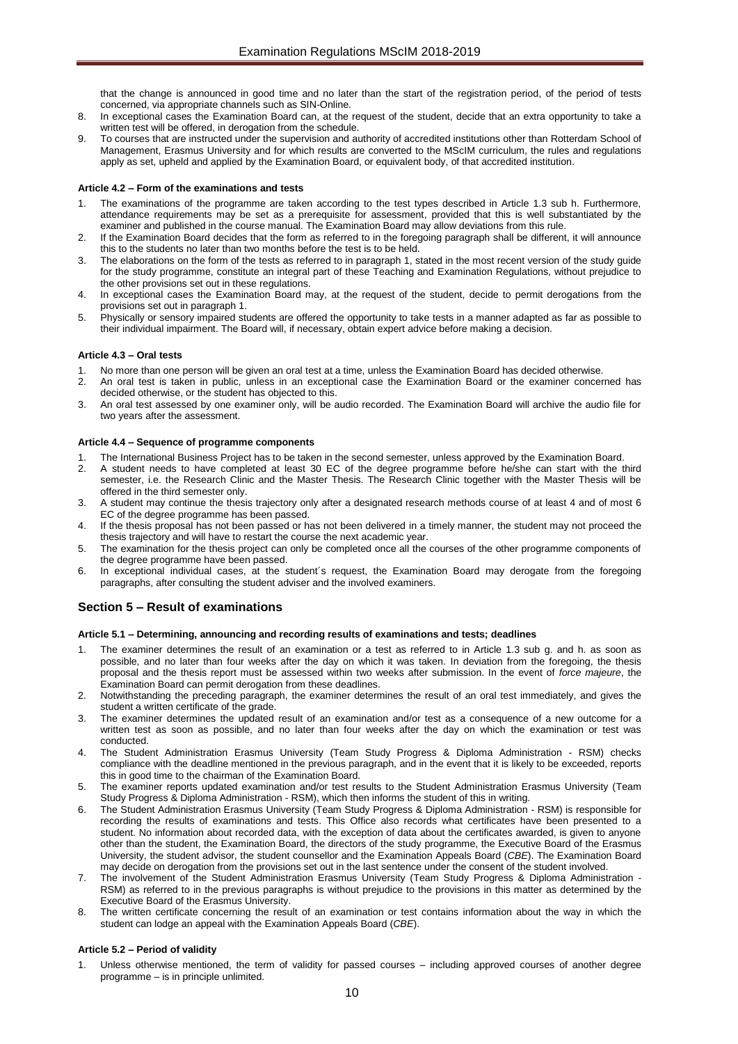that the change is announced in good time and no later than the start of the registration period, of the period of tests concerned, via appropriate channels such as SIN-Online.

- 8. In exceptional cases the Examination Board can, at the request of the student, decide that an extra opportunity to take a written test will be offered, in derogation from the schedule.
- 9. To courses that are instructed under the supervision and authority of accredited institutions other than Rotterdam School of Management, Erasmus University and for which results are converted to the MScIM curriculum, the rules and regulations apply as set, upheld and applied by the Examination Board, or equivalent body, of that accredited institution.

#### <span id="page-9-0"></span>**Article 4.2 – Form of the examinations and tests**

- 1. The examinations of the programme are taken according to the test types described in Article 1.3 sub h. Furthermore, attendance requirements may be set as a prerequisite for assessment, provided that this is well substantiated by the examiner and published in the course manual. The Examination Board may allow deviations from this rule.
- 2. If the Examination Board decides that the form as referred to in the foregoing paragraph shall be different, it will announce this to the students no later than two months before the test is to be held.
- 3. The elaborations on the form of the tests as referred to in paragraph 1, stated in the most recent version of the study guide for the study programme, constitute an integral part of these Teaching and Examination Regulations, without prejudice to the other provisions set out in these regulations.
- 4. In exceptional cases the Examination Board may, at the request of the student, decide to permit derogations from the provisions set out in paragraph 1.
- 5. Physically or sensory impaired students are offered the opportunity to take tests in a manner adapted as far as possible to their individual impairment. The Board will, if necessary, obtain expert advice before making a decision.

#### <span id="page-9-1"></span>**Article 4.3 – Oral tests**

- 1. No more than one person will be given an oral test at a time, unless the Examination Board has decided otherwise.
- 2. An oral test is taken in public, unless in an exceptional case the Examination Board or the examiner concerned has decided otherwise, or the student has objected to this.
- 3. An oral test assessed by one examiner only, will be audio recorded. The Examination Board will archive the audio file for two years after the assessment.

#### <span id="page-9-2"></span>**Article 4.4 – Sequence of programme components**

- 1. The International Business Project has to be taken in the second semester, unless approved by the Examination Board.
- 2. A student needs to have completed at least 30 EC of the degree programme before he/she can start with the third semester, i.e. the Research Clinic and the Master Thesis. The Research Clinic together with the Master Thesis will be offered in the third semester only.
- 3. A student may continue the thesis trajectory only after a designated research methods course of at least 4 and of most 6 EC of the degree programme has been passed.
- If the thesis proposal has not been passed or has not been delivered in a timely manner, the student may not proceed the thesis trajectory and will have to restart the course the next academic year.
- The examination for the thesis project can only be completed once all the courses of the other programme components of the degree programme have been passed.
- 6. In exceptional individual cases, at the student´s request, the Examination Board may derogate from the foregoing paragraphs, after consulting the student adviser and the involved examiners.

# <span id="page-9-3"></span>**Section 5 – Result of examinations**

#### <span id="page-9-4"></span>**Article 5.1 – Determining, announcing and recording results of examinations and tests; deadlines**

- The examiner determines the result of an examination or a test as referred to in Article 1.3 sub g. and h. as soon as possible, and no later than four weeks after the day on which it was taken. In deviation from the foregoing, the thesis proposal and the thesis report must be assessed within two weeks after submission. In the event of *force majeure*, the Examination Board can permit derogation from these deadlines.
- 2. Notwithstanding the preceding paragraph, the examiner determines the result of an oral test immediately, and gives the student a written certificate of the grade.
- 3. The examiner determines the updated result of an examination and/or test as a consequence of a new outcome for a written test as soon as possible, and no later than four weeks after the day on which the examination or test was conducted.
- 4. The Student Administration Erasmus University (Team Study Progress & Diploma Administration RSM) checks compliance with the deadline mentioned in the previous paragraph, and in the event that it is likely to be exceeded, reports this in good time to the chairman of the Examination Board.
- The examiner reports updated examination and/or test results to the Student Administration Erasmus University (Team Study Progress & Diploma Administration - RSM), which then informs the student of this in writing.
- 6. The Student Administration Erasmus University (Team Study Progress & Diploma Administration RSM) is responsible for recording the results of examinations and tests. This Office also records what certificates have been presented to a student. No information about recorded data, with the exception of data about the certificates awarded, is given to anyone other than the student, the Examination Board, the directors of the study programme, the Executive Board of the Erasmus University, the student advisor, the student counsellor and the Examination Appeals Board (*CBE*). The Examination Board may decide on derogation from the provisions set out in the last sentence under the consent of the student involved.
- 7. The involvement of the Student Administration Erasmus University (Team Study Progress & Diploma Administration RSM) as referred to in the previous paragraphs is without prejudice to the provisions in this matter as determined by the Executive Board of the Erasmus University.
- 8. The written certificate concerning the result of an examination or test contains information about the way in which the student can lodge an appeal with the Examination Appeals Board (*CBE*).

#### <span id="page-9-5"></span>**Article 5.2 – Period of validity**

Unless otherwise mentioned, the term of validity for passed courses – including approved courses of another degree programme – is in principle unlimited.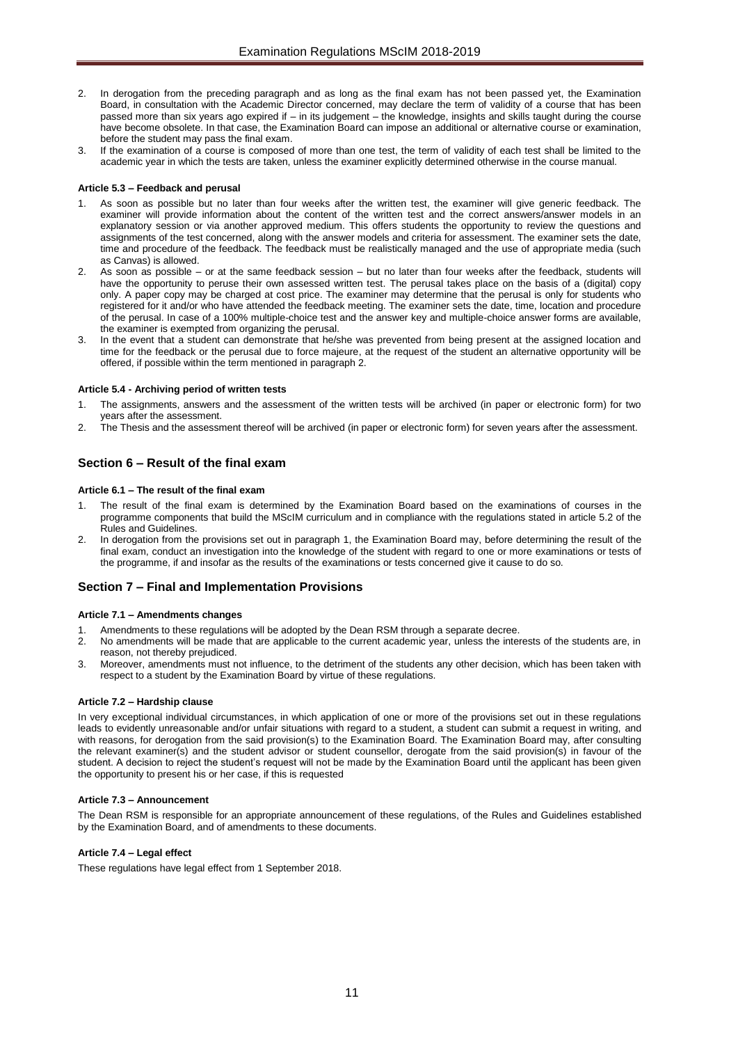- 2. In derogation from the preceding paragraph and as long as the final exam has not been passed yet, the Examination Board, in consultation with the Academic Director concerned, may declare the term of validity of a course that has been passed more than six years ago expired if – in its judgement – the knowledge, insights and skills taught during the course have become obsolete. In that case, the Examination Board can impose an additional or alternative course or examination, before the student may pass the final exam.
- 3. If the examination of a course is composed of more than one test, the term of validity of each test shall be limited to the academic year in which the tests are taken, unless the examiner explicitly determined otherwise in the course manual.

#### <span id="page-10-0"></span>**Article 5.3 – Feedback and perusal**

- 1. As soon as possible but no later than four weeks after the written test, the examiner will give generic feedback. The examiner will provide information about the content of the written test and the correct answers/answer models in an explanatory session or via another approved medium. This offers students the opportunity to review the questions and assignments of the test concerned, along with the answer models and criteria for assessment. The examiner sets the date, time and procedure of the feedback. The feedback must be realistically managed and the use of appropriate media (such as Canvas) is allowed.
- 2. As soon as possible or at the same feedback session but no later than four weeks after the feedback, students will have the opportunity to peruse their own assessed written test. The perusal takes place on the basis of a (digital) copy only. A paper copy may be charged at cost price. The examiner may determine that the perusal is only for students who registered for it and/or who have attended the feedback meeting. The examiner sets the date, time, location and procedure of the perusal. In case of a 100% multiple-choice test and the answer key and multiple-choice answer forms are available, the examiner is exempted from organizing the perusal.
- 3. In the event that a student can demonstrate that he/she was prevented from being present at the assigned location and time for the feedback or the perusal due to force majeure, at the request of the student an alternative opportunity will be offered, if possible within the term mentioned in paragraph 2.

#### <span id="page-10-1"></span>**Article 5.4 - Archiving period of written tests**

- 1. The assignments, answers and the assessment of the written tests will be archived (in paper or electronic form) for two years after the assessment.
- 2. The Thesis and the assessment thereof will be archived (in paper or electronic form) for seven years after the assessment.

## <span id="page-10-3"></span><span id="page-10-2"></span>**Section 6 – Result of the final exam**

#### **Article 6.1 – The result of the final exam**

- 1. The result of the final exam is determined by the Examination Board based on the examinations of courses in the programme components that build the MScIM curriculum and in compliance with the regulations stated in article 5.2 of the Rules and Guidelines.
- 2. In derogation from the provisions set out in paragraph 1, the Examination Board may, before determining the result of the final exam, conduct an investigation into the knowledge of the student with regard to one or more examinations or tests of the programme, if and insofar as the results of the examinations or tests concerned give it cause to do so.

#### <span id="page-10-5"></span><span id="page-10-4"></span>**Section 7 – Final and Implementation Provisions**

#### **Article 7.1 – Amendments changes**

- 1. Amendments to these regulations will be adopted by the Dean RSM through a separate decree.
- 2. No amendments will be made that are applicable to the current academic year, unless the interests of the students are, in reason, not thereby prejudiced.
- 3. Moreover, amendments must not influence, to the detriment of the students any other decision, which has been taken with respect to a student by the Examination Board by virtue of these regulations.

#### <span id="page-10-6"></span>**Article 7.2 – Hardship clause**

In very exceptional individual circumstances, in which application of one or more of the provisions set out in these regulations leads to evidently unreasonable and/or unfair situations with regard to a student, a student can submit a request in writing, and with reasons, for derogation from the said provision(s) to the Examination Board. The Examination Board may, after consulting the relevant examiner(s) and the student advisor or student counsellor, derogate from the said provision(s) in favour of the student. A decision to reject the student's request will not be made by the Examination Board until the applicant has been given the opportunity to present his or her case, if this is requested

#### <span id="page-10-7"></span>**Article 7.3 – Announcement**

The Dean RSM is responsible for an appropriate announcement of these regulations, of the Rules and Guidelines established by the Examination Board, and of amendments to these documents.

#### <span id="page-10-8"></span>**Article 7.4 – Legal effect**

These regulations have legal effect from 1 September 2018.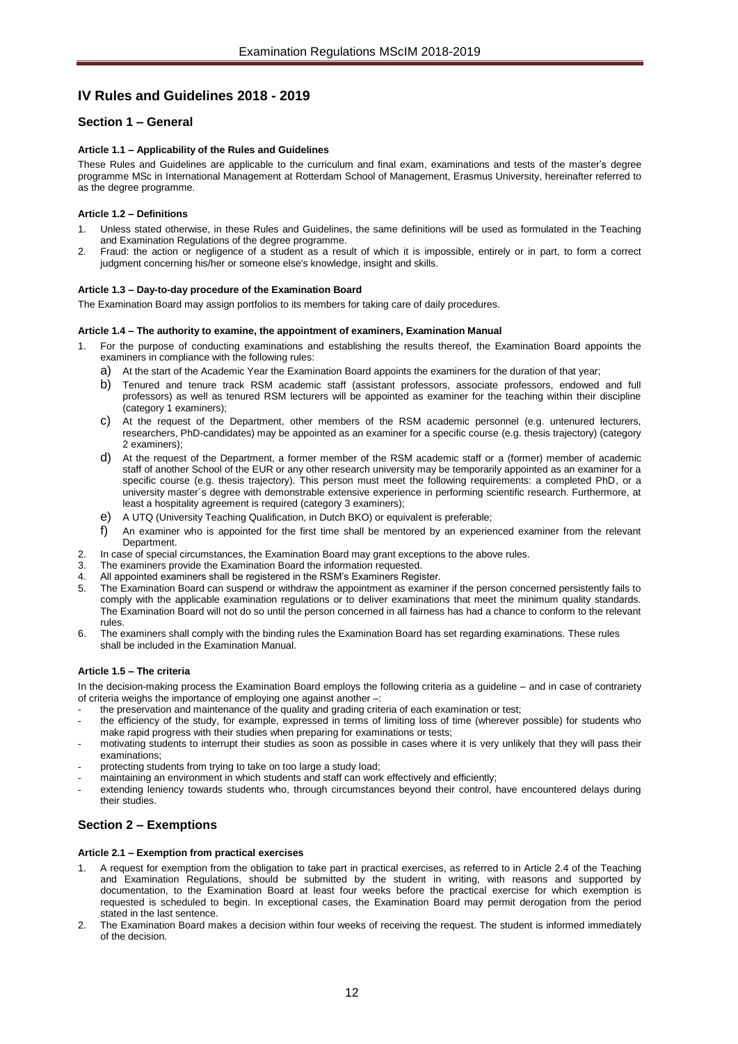# <span id="page-11-0"></span>**IV Rules and Guidelines 2018 - 2019**

# <span id="page-11-2"></span><span id="page-11-1"></span>**Section 1 – General**

#### **Article 1.1 – Applicability of the Rules and Guidelines**

These Rules and Guidelines are applicable to the curriculum and final exam, examinations and tests of the master's degree programme MSc in International Management at Rotterdam School of Management, Erasmus University, hereinafter referred to as the degree programme.

#### <span id="page-11-3"></span>**Article 1.2 – Definitions**

- Unless stated otherwise, in these Rules and Guidelines, the same definitions will be used as formulated in the Teaching and Examination Regulations of the degree programme.
- 2. Fraud: the action or negligence of a student as a result of which it is impossible, entirely or in part, to form a correct judgment concerning his/her or someone else's knowledge, insight and skills.

#### <span id="page-11-4"></span>**Article 1.3 – Day-to-day procedure of the Examination Board**

<span id="page-11-5"></span>The Examination Board may assign portfolios to its members for taking care of daily procedures.

#### **Article 1.4 – The authority to examine, the appointment of examiners, Examination Manual**

- 1. For the purpose of conducting examinations and establishing the results thereof, the Examination Board appoints the examiners in compliance with the following rules:
	- a) At the start of the Academic Year the Examination Board appoints the examiners for the duration of that year;
	- b) Tenured and tenure track RSM academic staff (assistant professors, associate professors, endowed and full professors) as well as tenured RSM lecturers will be appointed as examiner for the teaching within their discipline  $(cateqory 1 examiners)$ :
	- c) At the request of the Department, other members of the RSM academic personnel (e.g. untenured lecturers, researchers, PhD-candidates) may be appointed as an examiner for a specific course (e.g. thesis trajectory) (category 2 examiners);
	- d) At the request of the Department, a former member of the RSM academic staff or a (former) member of academic staff of another School of the EUR or any other research university may be temporarily appointed as an examiner for a specific course (e.g. thesis trajectory). This person must meet the following requirements: a completed PhD, or a university master´s degree with demonstrable extensive experience in performing scientific research. Furthermore, at least a hospitality agreement is required (category 3 examiners);
	- e) A UTQ (University Teaching Qualification, in Dutch BKO) or equivalent is preferable;
	- f) An examiner who is appointed for the first time shall be mentored by an experienced examiner from the relevant Department.
- 2. In case of special circumstances, the Examination Board may grant exceptions to the above rules.
- 3. The examiners provide the Examination Board the information requested.<br>4. All annointed examiners shall be registered in the RSM's Examiners Register
- All appointed examiners shall be registered in the RSM's Examiners Register.
- 5. The Examination Board can suspend or withdraw the appointment as examiner if the person concerned persistently fails to comply with the applicable examination regulations or to deliver examinations that meet the minimum quality standards. The Examination Board will not do so until the person concerned in all fairness has had a chance to conform to the relevant rules.
- 6. The examiners shall comply with the binding rules the Examination Board has set regarding examinations. These rules shall be included in the Examination Manual.

#### <span id="page-11-6"></span>**Article 1.5 – The criteria**

In the decision-making process the Examination Board employs the following criteria as a guideline – and in case of contrariety of criteria weighs the importance of employing one against another –:

the preservation and maintenance of the quality and grading criteria of each examination or test;

- the efficiency of the study, for example, expressed in terms of limiting loss of time (wherever possible) for students who make rapid progress with their studies when preparing for examinations or tests;
- motivating students to interrupt their studies as soon as possible in cases where it is very unlikely that they will pass their examinations;
- protecting students from trying to take on too large a study load;
- maintaining an environment in which students and staff can work effectively and efficiently;
- extending leniency towards students who, through circumstances beyond their control, have encountered delays during their studies.

# <span id="page-11-8"></span><span id="page-11-7"></span>**Section 2 – Exemptions**

#### **Article 2.1 – Exemption from practical exercises**

- 1. A request for exemption from the obligation to take part in practical exercises, as referred to in Article 2.4 of the Teaching and Examination Regulations, should be submitted by the student in writing, with reasons and supported by documentation, to the Examination Board at least four weeks before the practical exercise for which exemption is requested is scheduled to begin. In exceptional cases, the Examination Board may permit derogation from the period stated in the last sentence.
- 2. The Examination Board makes a decision within four weeks of receiving the request. The student is informed immediately of the decision.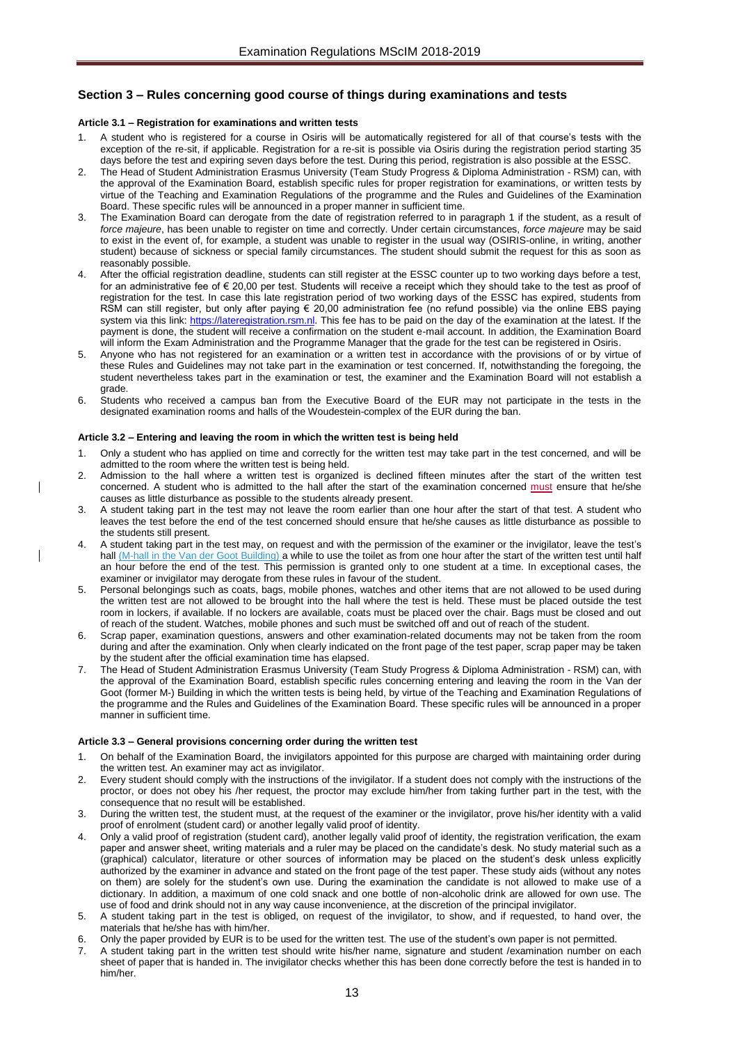# <span id="page-12-1"></span><span id="page-12-0"></span>**Section 3 – Rules concerning good course of things during examinations and tests**

#### **Article 3.1 – Registration for examinations and written tests**

- 1. A student who is registered for a course in Osiris will be automatically registered for all of that course's tests with the exception of the re-sit, if applicable. Registration for a re-sit is possible via Osiris during the registration period starting 35 days before the test and expiring seven days before the test. During this period, registration is also possible at the ESSC.
- 2. The Head of Student Administration Erasmus University (Team Study Progress & Diploma Administration RSM) can, with the approval of the Examination Board, establish specific rules for proper registration for examinations, or written tests by virtue of the Teaching and Examination Regulations of the programme and the Rules and Guidelines of the Examination Board. These specific rules will be announced in a proper manner in sufficient time.
- 3. The Examination Board can derogate from the date of registration referred to in paragraph 1 if the student, as a result of *force majeure*, has been unable to register on time and correctly. Under certain circumstances, *force majeure* may be said to exist in the event of, for example, a student was unable to register in the usual way (OSIRIS-online, in writing, another student) because of sickness or special family circumstances. The student should submit the request for this as soon as reasonably possible.
- After the official registration deadline, students can still register at the ESSC counter up to two working days before a test, for an administrative fee of € 20,00 per test. Students will receive a receipt which they should take to the test as proof of registration for the test. In case this late registration period of two working days of the ESSC has expired, students from RSM can still register, but only after paying  $\epsilon$  20,00 administration fee (no refund possible) via the online EBS paying system via this link: [https://lateregistration.rsm.nl.](https://lateregistration.rsm.nl/) This fee has to be paid on the day of the examination at the latest. If the payment is done, the student will receive a confirmation on the student e-mail account. In addition, the Examination Board will inform the Exam Administration and the Programme Manager that the grade for the test can be registered in Osiris.
- 5. Anyone who has not registered for an examination or a written test in accordance with the provisions of or by virtue of these Rules and Guidelines may not take part in the examination or test concerned. If, notwithstanding the foregoing, the student nevertheless takes part in the examination or test, the examiner and the Examination Board will not establish a grade.
- 6. Students who received a campus ban from the Executive Board of the EUR may not participate in the tests in the designated examination rooms and halls of the Woudestein-complex of the EUR during the ban.

#### <span id="page-12-2"></span>**Article 3.2 – Entering and leaving the room in which the written test is being held**

- 1. Only a student who has applied on time and correctly for the written test may take part in the test concerned, and will be admitted to the room where the written test is being held.
- 2. Admission to the hall where a written test is organized is declined fifteen minutes after the start of the written test concerned. A student who is admitted to the hall after the start of the examination concerned must ensure that he/she causes as little disturbance as possible to the students already present.
- 3. A student taking part in the test may not leave the room earlier than one hour after the start of that test. A student who leaves the test before the end of the test concerned should ensure that he/she causes as little disturbance as possible to the students still present.
- 4. A student taking part in the test may, on request and with the permission of the examiner or the invigilator, leave the test's hall (M-hall in the Van der Goot Building) a while to use the toilet as from one hour after the start of the written test until half an hour before the end of the test. This permission is granted only to one student at a time. In exceptional cases, the examiner or invigilator may derogate from these rules in favour of the student.
- Personal belongings such as coats, bags, mobile phones, watches and other items that are not allowed to be used during the written test are not allowed to be brought into the hall where the test is held. These must be placed outside the test room in lockers, if available. If no lockers are available, coats must be placed over the chair. Bags must be closed and out of reach of the student. Watches, mobile phones and such must be switched off and out of reach of the student.
- 6. Scrap paper, examination questions, answers and other examination-related documents may not be taken from the room during and after the examination. Only when clearly indicated on the front page of the test paper, scrap paper may be taken by the student after the official examination time has elapsed.
- 7. The Head of Student Administration Erasmus University (Team Study Progress & Diploma Administration RSM) can, with the approval of the Examination Board, establish specific rules concerning entering and leaving the room in the Van der Goot (former M-) Building in which the written tests is being held, by virtue of the Teaching and Examination Regulations of the programme and the Rules and Guidelines of the Examination Board. These specific rules will be announced in a proper manner in sufficient time.

#### <span id="page-12-3"></span>**Article 3.3 – General provisions concerning order during the written test**

- 1. On behalf of the Examination Board, the invigilators appointed for this purpose are charged with maintaining order during the written test. An examiner may act as invigilator.
- 2. Every student should comply with the instructions of the invigilator. If a student does not comply with the instructions of the proctor, or does not obey his /her request, the proctor may exclude him/her from taking further part in the test, with the consequence that no result will be established.
- 3. During the written test, the student must, at the request of the examiner or the invigilator, prove his/her identity with a valid proof of enrolment (student card) or another legally valid proof of identity.
- 4. Only a valid proof of registration (student card), another legally valid proof of identity, the registration verification, the exam paper and answer sheet, writing materials and a ruler may be placed on the candidate's desk. No study material such as a (graphical) calculator, literature or other sources of information may be placed on the student's desk unless explicitly authorized by the examiner in advance and stated on the front page of the test paper. These study aids (without any notes on them) are solely for the student's own use. During the examination the candidate is not allowed to make use of a dictionary. In addition, a maximum of one cold snack and one bottle of non-alcoholic drink are allowed for own use. The use of food and drink should not in any way cause inconvenience, at the discretion of the principal invigilator.
- 5. A student taking part in the test is obliged, on request of the invigilator, to show, and if requested, to hand over, the materials that he/she has with him/her.
- 6. Only the paper provided by EUR is to be used for the written test. The use of the student's own paper is not permitted.
- 7. A student taking part in the written test should write his/her name, signature and student /examination number on each sheet of paper that is handed in. The invigilator checks whether this has been done correctly before the test is handed in to him/her.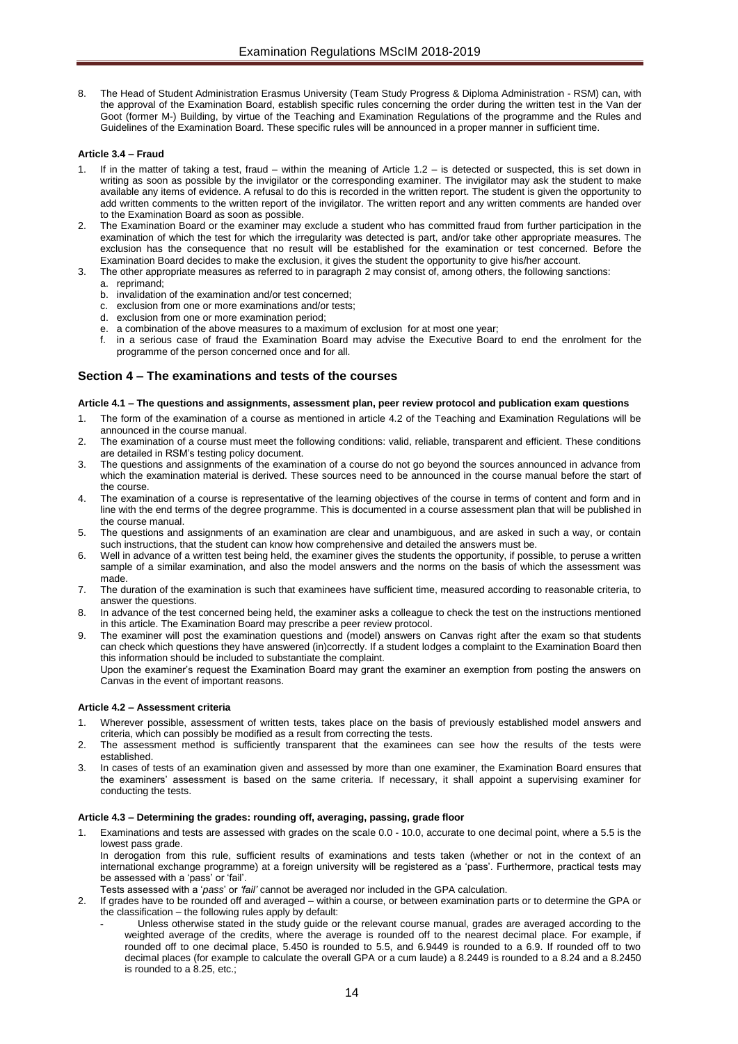8. The Head of Student Administration Erasmus University (Team Study Progress & Diploma Administration - RSM) can, with the approval of the Examination Board, establish specific rules concerning the order during the written test in the Van der Goot (former M-) Building, by virtue of the Teaching and Examination Regulations of the programme and the Rules and Guidelines of the Examination Board. These specific rules will be announced in a proper manner in sufficient time.

#### <span id="page-13-0"></span>**Article 3.4 – Fraud**

- If in the matter of taking a test, fraud within the meaning of Article 1.2 is detected or suspected, this is set down in writing as soon as possible by the invigilator or the corresponding examiner. The invigilator may ask the student to make available any items of evidence. A refusal to do this is recorded in the written report. The student is given the opportunity to add written comments to the written report of the invigilator. The written report and any written comments are handed over to the Examination Board as soon as possible.
- The Examination Board or the examiner may exclude a student who has committed fraud from further participation in the examination of which the test for which the irregularity was detected is part, and/or take other appropriate measures. The exclusion has the consequence that no result will be established for the examination or test concerned. Before the Examination Board decides to make the exclusion, it gives the student the opportunity to give his/her account.
- The other appropriate measures as referred to in paragraph 2 may consist of, among others, the following sanctions:
	- a. reprimand;
	- b. invalidation of the examination and/or test concerned;
	- c. exclusion from one or more examinations and/or tests;
	- d. exclusion from one or more examination period;
	- e. a combination of the above measures to a maximum of exclusion for at most one year;
	- in a serious case of fraud the Examination Board may advise the Executive Board to end the enrolment for the programme of the person concerned once and for all.

## <span id="page-13-1"></span>**Section 4 – The examinations and tests of the courses**

#### <span id="page-13-2"></span>**Article 4.1 – The questions and assignments, assessment plan, peer review protocol and publication exam questions**

- 1. The form of the examination of a course as mentioned in article 4.2 of the Teaching and Examination Regulations will be announced in the course manual.
- 2. The examination of a course must meet the following conditions: valid, reliable, transparent and efficient. These conditions are detailed in RSM's testing policy document.
- 3. The questions and assignments of the examination of a course do not go beyond the sources announced in advance from which the examination material is derived. These sources need to be announced in the course manual before the start of the course.
- 4. The examination of a course is representative of the learning objectives of the course in terms of content and form and in line with the end terms of the degree programme. This is documented in a course assessment plan that will be published in the course manual.
- 5. The questions and assignments of an examination are clear and unambiguous, and are asked in such a way, or contain such instructions, that the student can know how comprehensive and detailed the answers must be.
- 6. Well in advance of a written test being held, the examiner gives the students the opportunity, if possible, to peruse a written sample of a similar examination, and also the model answers and the norms on the basis of which the assessment was made.
- 7. The duration of the examination is such that examinees have sufficient time, measured according to reasonable criteria, to answer the questions.
- 8. In advance of the test concerned being held, the examiner asks a colleague to check the test on the instructions mentioned in this article. The Examination Board may prescribe a peer review protocol.
- 9. The examiner will post the examination questions and (model) answers on Canvas right after the exam so that students can check which questions they have answered (in)correctly. If a student lodges a complaint to the Examination Board then this information should be included to substantiate the complaint.
	- Upon the examiner's request the Examination Board may grant the examiner an exemption from posting the answers on Canvas in the event of important reasons.

#### <span id="page-13-3"></span>**Article 4.2 – Assessment criteria**

- 1. Wherever possible, assessment of written tests, takes place on the basis of previously established model answers and criteria, which can possibly be modified as a result from correcting the tests.
- 2. The assessment method is sufficiently transparent that the examinees can see how the results of the tests were established.
- 3. In cases of tests of an examination given and assessed by more than one examiner, the Examination Board ensures that the examiners' assessment is based on the same criteria. If necessary, it shall appoint a supervising examiner for conducting the tests.

#### <span id="page-13-4"></span>**Article 4.3 – Determining the grades: rounding off, averaging, passing, grade floor**

Examinations and tests are assessed with grades on the scale 0.0 - 10.0, accurate to one decimal point, where a 5.5 is the lowest pass grade.

In derogation from this rule, sufficient results of examinations and tests taken (whether or not in the context of an international exchange programme) at a foreign university will be registered as a 'pass'. Furthermore, practical tests may be assessed with a 'pass' or 'fail'.

- Tests assessed with a '*pass*' or *'fail'* cannot be averaged nor included in the GPA calculation.
	- If grades have to be rounded off and averaged within a course, or between examination parts or to determine the GPA or the classification – the following rules apply by default:
		- Unless otherwise stated in the study guide or the relevant course manual, grades are averaged according to the weighted average of the credits, where the average is rounded off to the nearest decimal place. For example, if rounded off to one decimal place, 5.450 is rounded to 5.5, and 6.9449 is rounded to a 6.9. If rounded off to two decimal places (for example to calculate the overall GPA or a cum laude) a 8.2449 is rounded to a 8.24 and a 8.2450 is rounded to a 8.25, etc.;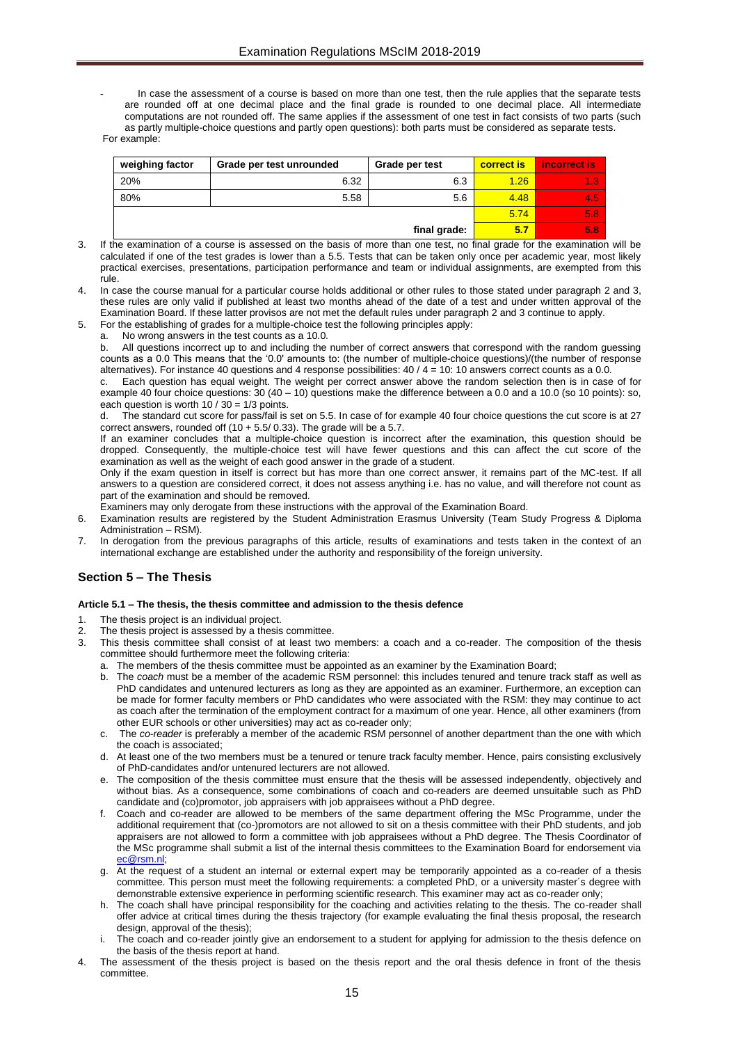In case the assessment of a course is based on more than one test, then the rule applies that the separate tests are rounded off at one decimal place and the final grade is rounded to one decimal place. All intermediate computations are not rounded off. The same applies if the assessment of one test in fact consists of two parts (such as partly multiple-choice questions and partly open questions): both parts must be considered as separate tests. For example:

| weighing factor | Grade per test unrounded | Grade per test | correct is | incorrect is |
|-----------------|--------------------------|----------------|------------|--------------|
| 20%             | 6.32                     | 6.3            | 1.26       | 1.3          |
| 80%             | 5.58                     | 5.6            | 4.48       | 4.5          |
|                 | 5.74                     | 5.87           |            |              |
|                 | 5.7                      | 5.8            |            |              |

- 3. If the examination of a course is assessed on the basis of more than one test, no final grade for the examination will be calculated if one of the test grades is lower than a 5.5. Tests that can be taken only once per academic year, most likely practical exercises, presentations, participation performance and team or individual assignments, are exempted from this rule.
- In case the course manual for a particular course holds additional or other rules to those stated under paragraph 2 and 3, these rules are only valid if published at least two months ahead of the date of a test and under written approval of the Examination Board. If these latter provisos are not met the default rules under paragraph 2 and 3 continue to apply.
- 5. For the establishing of grades for a multiple-choice test the following principles apply:
	- No wrong answers in the test counts as a 10.0.

b. All questions incorrect up to and including the number of correct answers that correspond with the random guessing counts as a 0.0 This means that the '0.0' amounts to: (the number of multiple-choice questions)/(the number of response alternatives). For instance 40 questions and 4 response possibilities:  $40 / 4 = 10$ : 10 answers correct counts as a 0.0.

c. Each question has equal weight. The weight per correct answer above the random selection then is in case of for example 40 four choice questions:  $30 (40 - 10)$  questions make the difference between a 0.0 and a 10.0 (so 10 points): so, each question is worth  $10 / 30 = 1/3$  points.

d. The standard cut score for pass/fail is set on 5.5. In case of for example 40 four choice questions the cut score is at 27 correct answers, rounded off  $(10 + 5.5/ 0.33)$ . The grade will be a 5.7.

If an examiner concludes that a multiple-choice question is incorrect after the examination, this question should be dropped. Consequently, the multiple-choice test will have fewer questions and this can affect the cut score of the examination as well as the weight of each good answer in the grade of a student.

Only if the exam question in itself is correct but has more than one correct answer, it remains part of the MC-test. If all answers to a question are considered correct, it does not assess anything i.e. has no value, and will therefore not count as part of the examination and should be removed.

Examiners may only derogate from these instructions with the approval of the Examination Board.

- 6. Examination results are registered by the Student Administration Erasmus University (Team Study Progress & Diploma Administration – RSM).
- 7. In derogation from the previous paragraphs of this article, results of examinations and tests taken in the context of an international exchange are established under the authority and responsibility of the foreign university.

# <span id="page-14-0"></span>**Section 5 – The Thesis**

#### <span id="page-14-1"></span>**Article 5.1 – The thesis, the thesis committee and admission to the thesis defence**

- 1. The thesis project is an individual project.
- 2. The thesis project is assessed by a thesis committee.
- 3. This thesis committee shall consist of at least two members: a coach and a co-reader. The composition of the thesis committee should furthermore meet the following criteria:
	- a. The members of the thesis committee must be appointed as an examiner by the Examination Board;
	- b. The *coach* must be a member of the academic RSM personnel: this includes tenured and tenure track staff as well as PhD candidates and untenured lecturers as long as they are appointed as an examiner. Furthermore, an exception can be made for former faculty members or PhD candidates who were associated with the RSM: they may continue to act as coach after the termination of the employment contract for a maximum of one year. Hence, all other examiners (from other EUR schools or other universities) may act as co-reader only;
	- c. The *co-reader* is preferably a member of the academic RSM personnel of another department than the one with which the coach is associated;
	- d. At least one of the two members must be a tenured or tenure track faculty member. Hence, pairs consisting exclusively of PhD-candidates and/or untenured lecturers are not allowed.
	- e. The composition of the thesis committee must ensure that the thesis will be assessed independently, objectively and without bias. As a consequence, some combinations of coach and co-readers are deemed unsuitable such as PhD candidate and (co)promotor, job appraisers with job appraisees without a PhD degree.
	- f. Coach and co-reader are allowed to be members of the same department offering the MSc Programme, under the additional requirement that (co-)promotors are not allowed to sit on a thesis committee with their PhD students, and job appraisers are not allowed to form a committee with job appraisees without a PhD degree. The Thesis Coordinator of the MSc programme shall submit a list of the internal thesis committees to the Examination Board for endorsement via [ec@rsm.nl;](mailto:ec@rsm.nl)
	- g. At the request of a student an internal or external expert may be temporarily appointed as a co-reader of a thesis committee. This person must meet the following requirements: a completed PhD, or a university master´s degree with demonstrable extensive experience in performing scientific research. This examiner may act as co-reader only;
	- h. The coach shall have principal responsibility for the coaching and activities relating to the thesis. The co-reader shall offer advice at critical times during the thesis trajectory (for example evaluating the final thesis proposal, the research design, approval of the thesis);
	- The coach and co-reader jointly give an endorsement to a student for applying for admission to the thesis defence on the basis of the thesis report at hand.
- 4. The assessment of the thesis project is based on the thesis report and the oral thesis defence in front of the thesis committee.